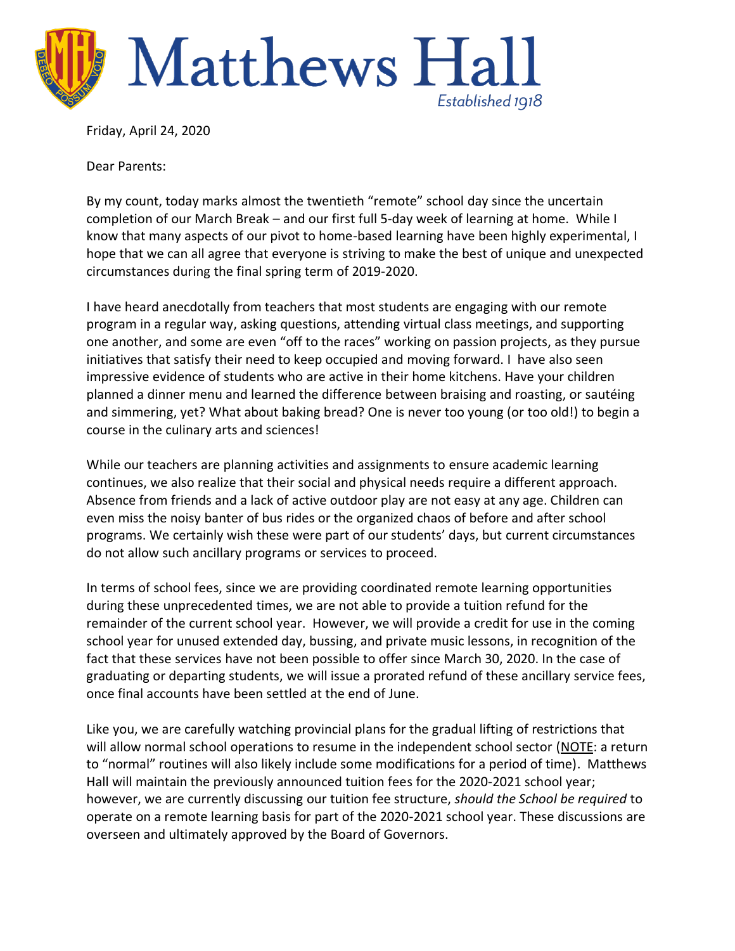

Friday, April 24, 2020

Dear Parents:

By my count, today marks almost the twentieth "remote" school day since the uncertain completion of our March Break – and our first full 5-day week of learning at home. While I know that many aspects of our pivot to home-based learning have been highly experimental, I hope that we can all agree that everyone is striving to make the best of unique and unexpected circumstances during the final spring term of 2019-2020.

I have heard anecdotally from teachers that most students are engaging with our remote program in a regular way, asking questions, attending virtual class meetings, and supporting one another, and some are even "off to the races" working on passion projects, as they pursue initiatives that satisfy their need to keep occupied and moving forward. I have also seen impressive evidence of students who are active in their home kitchens. Have your children planned a dinner menu and learned the difference between braising and roasting, or sautéing and simmering, yet? What about baking bread? One is never too young (or too old!) to begin a course in the culinary arts and sciences!

While our teachers are planning activities and assignments to ensure academic learning continues, we also realize that their social and physical needs require a different approach. Absence from friends and a lack of active outdoor play are not easy at any age. Children can even miss the noisy banter of bus rides or the organized chaos of before and after school programs. We certainly wish these were part of our students' days, but current circumstances do not allow such ancillary programs or services to proceed.

In terms of school fees, since we are providing coordinated remote learning opportunities during these unprecedented times, we are not able to provide a tuition refund for the remainder of the current school year. However, we will provide a credit for use in the coming school year for unused extended day, bussing, and private music lessons, in recognition of the fact that these services have not been possible to offer since March 30, 2020. In the case of graduating or departing students, we will issue a prorated refund of these ancillary service fees, once final accounts have been settled at the end of June.

Like you, we are carefully watching provincial plans for the gradual lifting of restrictions that will allow normal school operations to resume in the independent school sector (NOTE: a return to "normal" routines will also likely include some modifications for a period of time). Matthews Hall will maintain the previously announced tuition fees for the 2020-2021 school year; however, we are currently discussing our tuition fee structure, *should the School be required* to operate on a remote learning basis for part of the 2020-2021 school year. These discussions are overseen and ultimately approved by the Board of Governors.